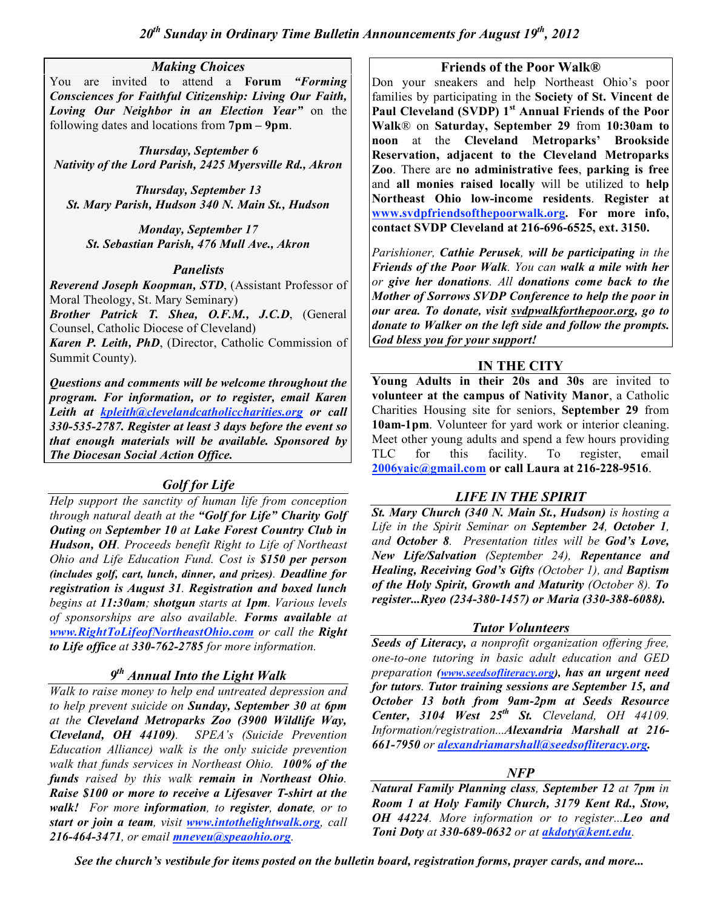#### *Making Choices*

You are invited to attend a **Forum** *"Forming Consciences for Faithful Citizenship: Living Our Faith, Loving Our Neighbor in an Election Year"* on the following dates and locations from **7pm – 9pm**.

*Thursday, September 6 Nativity of the Lord Parish, 2425 Myersville Rd., Akron*

*Thursday, September 13 St. Mary Parish, Hudson 340 N. Main St., Hudson*

*Monday, September 17 St. Sebastian Parish, 476 Mull Ave., Akron*

## *Panelists*

*Reverend Joseph Koopman, STD*, (Assistant Professor of Moral Theology, St. Mary Seminary)

*Brother Patrick T. Shea, O.F.M., J.C.D*, (General Counsel, Catholic Diocese of Cleveland)

*Karen P. Leith, PhD*, (Director, Catholic Commission of Summit County).

*Questions and comments will be welcome throughout the program. For information, or to register, email Karen Leith at kpleith@clevelandcatholiccharities.org or call 330-535-2787. Register at least 3 days before the event so that enough materials will be available. Sponsored by The Diocesan Social Action Office.*

# *Golf for Life*

*Help support the sanctity of human life from conception through natural death at the "Golf for Life" Charity Golf Outing on September 10 at Lake Forest Country Club in Hudson, OH. Proceeds benefit Right to Life of Northeast Ohio and Life Education Fund. Cost is \$150 per person (includes golf, cart, lunch, dinner, and prizes). Deadline for registration is August 31. Registration and boxed lunch begins at 11:30am; shotgun starts at 1pm. Various levels of sponsorships are also available. Forms available at www.RightToLifeofNortheastOhio.com or call the Right to Life office at 330-762-2785 for more information.*

# *9th Annual Into the Light Walk*

*Walk to raise money to help end untreated depression and to help prevent suicide on Sunday, September 30 at 6pm at the Cleveland Metroparks Zoo (3900 Wildlife Way, Cleveland, OH 44109). SPEA's (Suicide Prevention Education Alliance) walk is the only suicide prevention walk that funds services in Northeast Ohio. 100% of the funds raised by this walk remain in Northeast Ohio. Raise \$100 or more to receive a Lifesaver T-shirt at the walk! For more information, to register, donate, or to start or join a team, visit www.intothelightwalk.org, call 216-464-3471, or email mneveu@speaohio.org.*

#### **Friends of the Poor Walk®**

Don your sneakers and help Northeast Ohio's poor families by participating in the **Society of St. Vincent de Paul Cleveland (SVDP) 1st Annual Friends of the Poor Walk**® on **Saturday, September 29** from **10:30am to noon** at the **Cleveland Metroparks' Brookside Reservation, adjacent to the Cleveland Metroparks Zoo**. There are **no administrative fees**, **parking is free** and **all monies raised locally** will be utilized to **help Northeast Ohio low-income residents**. **Register at www.svdpfriendsofthepoorwalk.org. For more info, contact SVDP Cleveland at 216-696-6525, ext. 3150.**

*Parishioner, Cathie Perusek, will be participating in the Friends of the Poor Walk. You can walk a mile with her or give her donations. All donations come back to the Mother of Sorrows SVDP Conference to help the poor in our area. To donate, visit svdpwalkforthepoor.org, go to donate to Walker on the left side and follow the prompts. God bless you for your support!*

## **IN THE CITY**

**Young Adults in their 20s and 30s** are invited to **volunteer at the campus of Nativity Manor**, a Catholic Charities Housing site for seniors, **September 29** from **10am-1pm**. Volunteer for yard work or interior cleaning. Meet other young adults and spend a few hours providing TLC for this facility. To register, email **2006yaic@gmail.com or call Laura at 216-228-9516**.

# *LIFE IN THE SPIRIT*

*St. Mary Church (340 N. Main St., Hudson) is hosting a Life in the Spirit Seminar on September 24, October 1, and October 8. Presentation titles will be God's Love, New Life/Salvation (September 24), Repentance and Healing, Receiving God's Gifts (October 1), and Baptism of the Holy Spirit, Growth and Maturity (October 8). To register...Ryeo (234-380-1457) or Maria (330-388-6088).*

## *Tutor Volunteers*

*Seeds of Literacy, a nonprofit organization offering free, one-to-one tutoring in basic adult education and GED preparation (www.seedsofliteracy.org), has an urgent need for tutors. Tutor training sessions are September 15, and October 13 both from 9am-2pm at Seeds Resource Center, 3104 West 25th St. Cleveland, OH 44109. Information/registration...Alexandria Marshall at 216- 661-7950 or alexandriamarshall@seedsofliteracy.org.*

# *NFP*

*Natural Family Planning class, September 12 at 7pm in Room 1 at Holy Family Church, 3179 Kent Rd., Stow, OH 44224. More information or to register...Leo and Toni Doty at 330-689-0632 or at akdoty@kent.edu.*

*See the church's vestibule for items posted on the bulletin board, registration forms, prayer cards, and more...*